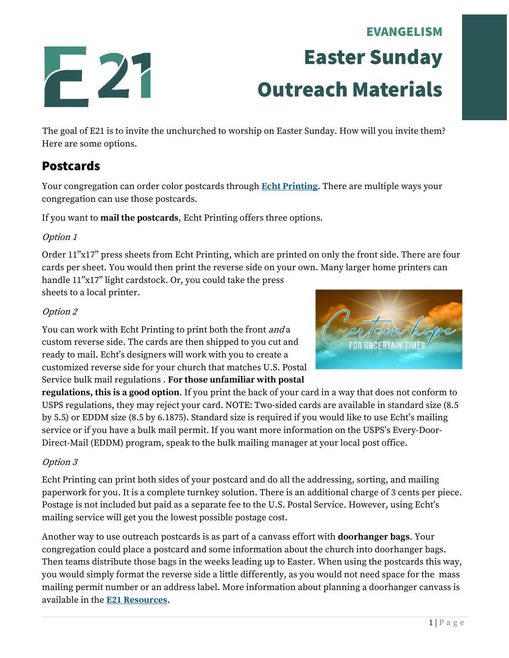# EVANGELISM Easter Sunday Outreach Materials

The goal of E21 is to invite the unchurched to worship on Easter Sunday. How will you invite them? Here are some options.

# Postcards

Your congregation can order color postcards through **[Echt Printing](https://www.echtprinting.com/wels-e21)**. There are multiple ways your congregation can use those postcards.

If you want to **mail the postcards**, Echt Printing offers three options.

### Option 1

Order 11"x17" press sheets from Echt Printing, which are printed on only the front side. There are four cards per sheet. You would then print the reverse side on your own. Many larger home printers can handle 11"x17" light cardstock. Or, you could take the press sheets to a local printer.

#### Option 2

You can work with Echt Printing to print both the front and a custom reverse side. The cards are then shipped to you cut and ready to mail. Echt's designers will work with you to create a customized reverse side for your church that matches U.S. Postal Service bulk mail regulations . **For those unfamiliar with postal** 



**regulations, this is a good option**. If you print the back of your card in a way that does not conform to USPS regulations, they may reject your card. NOTE: Two-sided cards are available in standard size (8.5 by 5.5) or EDDM size (8.5 by 6.1875). Standard size is required if you would like to use Echt's mailing service or if you have a bulk mail permit. If you want more information on the USPS's Every-Door-Direct-Mail (EDDM) program, speak to the bulk mailing manager at your local post office.

### Option 3

Echt Printing can print both sides of your postcard and do all the addressing, sorting, and mailing paperwork for you. It is a complete turnkey solution. There is an additional charge of 3 cents per piece. Postage is not included but paid as a separate fee to the U.S. Postal Service. However, using Echt's mailing service will get you the lowest possible postage cost.

Another way to use outreach postcards is as part of a canvass effort with **doorhanger bags**. Your congregation could place a postcard and some information about the church into doorhanger bags. Then teams distribute those bags in the weeks leading up to Easter. When using the postcards this way, you would simply format the reverse side a little differently, as you would not need space for the mass mailing permit number or an address label. More information about planning a doorhanger canvass is available in the **[E21 Resources](https://welscongregationalservices.net/e21/)**.